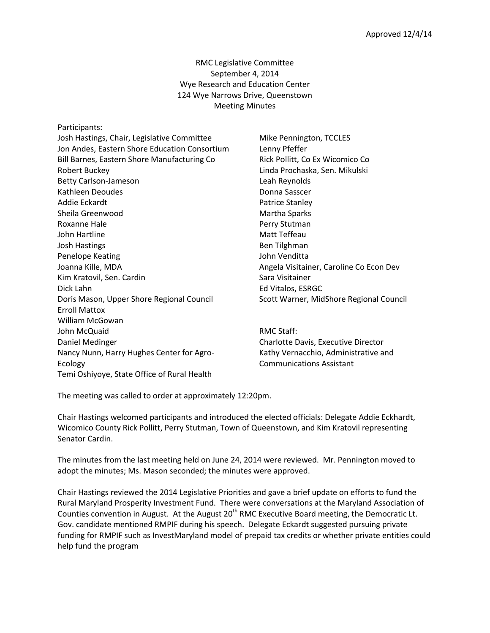RMC Legislative Committee September 4, 2014 Wye Research and Education Center 124 Wye Narrows Drive, Queenstown Meeting Minutes

| Participants:                                 |                                         |
|-----------------------------------------------|-----------------------------------------|
| Josh Hastings, Chair, Legislative Committee   | Mike Pennington, TCCLES                 |
| Jon Andes, Eastern Shore Education Consortium | Lenny Pfeffer                           |
| Bill Barnes, Eastern Shore Manufacturing Co   | Rick Pollitt, Co Ex Wicomico Co         |
| Robert Buckey                                 | Linda Prochaska, Sen. Mikulski          |
| Betty Carlson-Jameson                         | Leah Reynolds                           |
| Kathleen Deoudes                              | Donna Sasscer                           |
| Addie Eckardt                                 | Patrice Stanley                         |
| Sheila Greenwood                              | Martha Sparks                           |
| Roxanne Hale                                  | Perry Stutman                           |
| John Hartline                                 | Matt Teffeau                            |
| <b>Josh Hastings</b>                          | Ben Tilghman                            |
| Penelope Keating                              | John Venditta                           |
| Joanna Kille, MDA                             | Angela Visitainer, Caroline Co Econ Dev |
| Kim Kratovil, Sen. Cardin                     | Sara Visitainer                         |
| Dick Lahn                                     | Ed Vitalos, ESRGC                       |
| Doris Mason, Upper Shore Regional Council     | Scott Warner, MidShore Regional Council |
| <b>Erroll Mattox</b>                          |                                         |
| William McGowan                               |                                         |
| John McQuaid                                  | <b>RMC Staff:</b>                       |
| Daniel Medinger                               | Charlotte Davis, Executive Director     |
| Nancy Nunn, Harry Hughes Center for Agro-     | Kathy Vernacchio, Administrative and    |
| Ecology                                       | <b>Communications Assistant</b>         |
| Temi Oshiyoye, State Office of Rural Health   |                                         |

The meeting was called to order at approximately 12:20pm.

Chair Hastings welcomed participants and introduced the elected officials: Delegate Addie Eckhardt, Wicomico County Rick Pollitt, Perry Stutman, Town of Queenstown, and Kim Kratovil representing Senator Cardin.

The minutes from the last meeting held on June 24, 2014 were reviewed. Mr. Pennington moved to adopt the minutes; Ms. Mason seconded; the minutes were approved.

Chair Hastings reviewed the 2014 Legislative Priorities and gave a brief update on efforts to fund the Rural Maryland Prosperity Investment Fund. There were conversations at the Maryland Association of Counties convention in August. At the August 20<sup>th</sup> RMC Executive Board meeting, the Democratic Lt. Gov. candidate mentioned RMPIF during his speech. Delegate Eckardt suggested pursuing private funding for RMPIF such as InvestMaryland model of prepaid tax credits or whether private entities could help fund the program